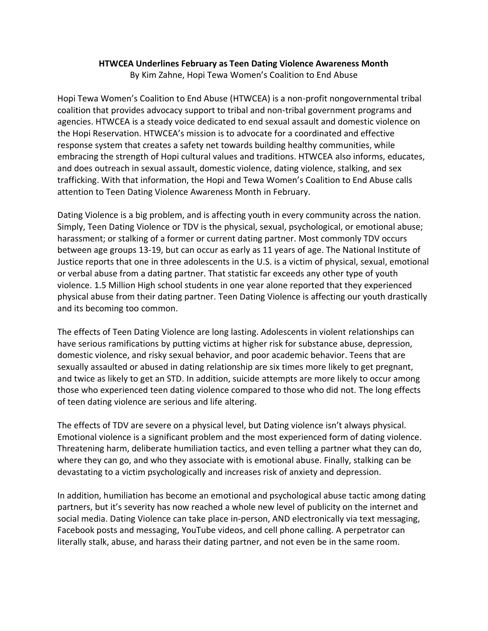## **HTWCEA Underlines February as Teen Dating Violence Awareness Month**

By Kim Zahne, Hopi Tewa Women's Coalition to End Abuse

Hopi Tewa Women's Coalition to End Abuse (HTWCEA) is a non-profit nongovernmental tribal coalition that provides advocacy support to tribal and non-tribal government programs and agencies. HTWCEA is a steady voice dedicated to end sexual assault and domestic violence on the Hopi Reservation. HTWCEA's mission is to advocate for a coordinated and effective response system that creates a safety net towards building healthy communities, while embracing the strength of Hopi cultural values and traditions. HTWCEA also informs, educates, and does outreach in sexual assault, domestic violence, dating violence, stalking, and sex trafficking. With that information, the Hopi and Tewa Women's Coalition to End Abuse calls attention to Teen Dating Violence Awareness Month in February.

Dating Violence is a big problem, and is affecting youth in every community across the nation. Simply, Teen Dating Violence or TDV is the physical, sexual, psychological, or emotional abuse; harassment; or stalking of a former or current dating partner. Most commonly TDV occurs between age groups 13-19, but can occur as early as 11 years of age. The National Institute of Justice reports that one in three adolescents in the U.S. is a victim of physical, sexual, emotional or verbal abuse from a dating partner. That statistic far exceeds any other type of youth violence. 1.5 Million High school students in one year alone reported that they experienced physical abuse from their dating partner. Teen Dating Violence is affecting our youth drastically and its becoming too common.

The effects of Teen Dating Violence are long lasting. Adolescents in violent relationships can have serious ramifications by putting victims at higher risk for substance abuse, depression, domestic violence, and risky sexual behavior, and poor academic behavior. Teens that are sexually assaulted or abused in dating relationship are six times more likely to get pregnant, and twice as likely to get an STD. In addition, suicide attempts are more likely to occur among those who experienced teen dating violence compared to those who did not. The long effects of teen dating violence are serious and life altering.

The effects of TDV are severe on a physical level, but Dating violence isn't always physical. Emotional violence is a significant problem and the most experienced form of dating violence. Threatening harm, deliberate humiliation tactics, and even telling a partner what they can do, where they can go, and who they associate with is emotional abuse. Finally, stalking can be devastating to a victim psychologically and increases risk of anxiety and depression.

In addition, humiliation has become an emotional and psychological abuse tactic among dating partners, but it's severity has now reached a whole new level of publicity on the internet and social media. Dating Violence can take place in-person, AND electronically via text messaging, Facebook posts and messaging, YouTube videos, and cell phone calling. A perpetrator can literally stalk, abuse, and harass their dating partner, and not even be in the same room.